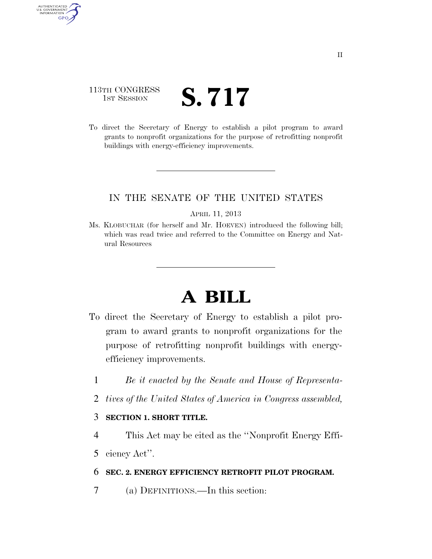## 113TH CONGRESS TH CONGRESS **S. 717**

AUTHENTICATED<br>U.S. GOVERNMENT<br>INFORMATION

**GPO** 

To direct the Secretary of Energy to establish a pilot program to award grants to nonprofit organizations for the purpose of retrofitting nonprofit buildings with energy-efficiency improvements.

## IN THE SENATE OF THE UNITED STATES

#### APRIL 11, 2013

Ms. KLOBUCHAR (for herself and Mr. HOEVEN) introduced the following bill; which was read twice and referred to the Committee on Energy and Natural Resources

# **A BILL**

- To direct the Secretary of Energy to establish a pilot program to award grants to nonprofit organizations for the purpose of retrofitting nonprofit buildings with energyefficiency improvements.
	- 1 *Be it enacted by the Senate and House of Representa-*
	- 2 *tives of the United States of America in Congress assembled,*

## 3 **SECTION 1. SHORT TITLE.**

- 4 This Act may be cited as the ''Nonprofit Energy Effi-
- 5 ciency Act''.

### 6 **SEC. 2. ENERGY EFFICIENCY RETROFIT PILOT PROGRAM.**

7 (a) DEFINITIONS.—In this section: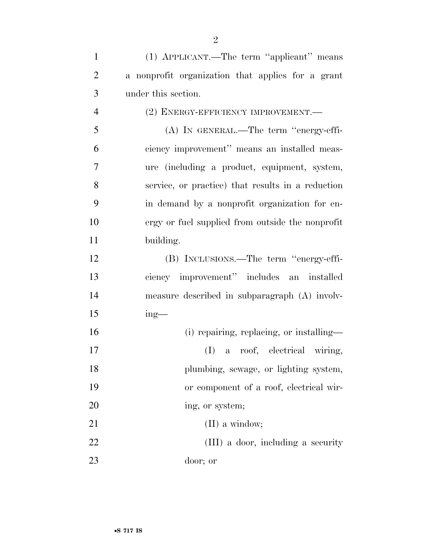(1) APPLICANT.—The term ''applicant'' means a nonprofit organization that applies for a grant under this section. (2) ENERGY-EFFICIENCY IMPROVEMENT.— (A) IN GENERAL.—The term ''energy-effi- ciency improvement'' means an installed meas- ure (including a product, equipment, system, service, or practice) that results in a reduction in demand by a nonprofit organization for en- ergy or fuel supplied from outside the nonprofit building. (B) INCLUSIONS.—The term ''energy-effi- ciency improvement'' includes an installed measure described in subparagraph (A) involv- ing— 16 (i) repairing, replacing, or installing— (I) a roof, electrical wiring, 18 plumbing, sewage, or lighting system, or component of a roof, electrical wir-20 ing, or system; 21 (II) a window; 22 (III) a door, including a security door; or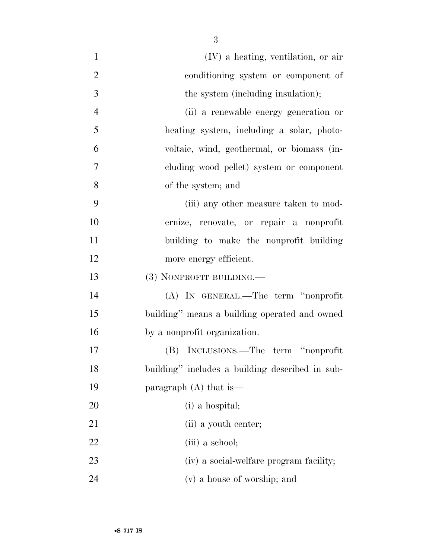| $\mathbf{1}$   | $(IV)$ a heating, ventilation, or air           |
|----------------|-------------------------------------------------|
| $\overline{2}$ | conditioning system or component of             |
| 3              | the system (including insulation);              |
| $\overline{4}$ | (ii) a renewable energy generation or           |
| 5              | heating system, including a solar, photo-       |
| 6              | voltaie, wind, geothermal, or biomass (in-      |
| $\tau$         | cluding wood pellet) system or component        |
| 8              | of the system; and                              |
| 9              | (iii) any other measure taken to mod-           |
| 10             | ernize, renovate, or repair a nonprofit         |
| 11             | building to make the nonprofit building         |
| 12             | more energy efficient.                          |
| 13             | (3) NONPROFIT BUILDING.—                        |
| 14             | (A) IN GENERAL.—The term "nonprofit             |
| 15             | building" means a building operated and owned   |
| 16             | by a nonprofit organization.                    |
| 17             | (B) INCLUSIONS.—The term "nonprofit             |
| 18             | building" includes a building described in sub- |
| 19             | paragraph $(A)$ that is —                       |
| 20             | (i) a hospital;                                 |
| 21             | (ii) a youth center;                            |
| 22             | (iii) a school;                                 |
| 23             | (iv) a social-welfare program facility;         |
| 24             | (v) a house of worship; and                     |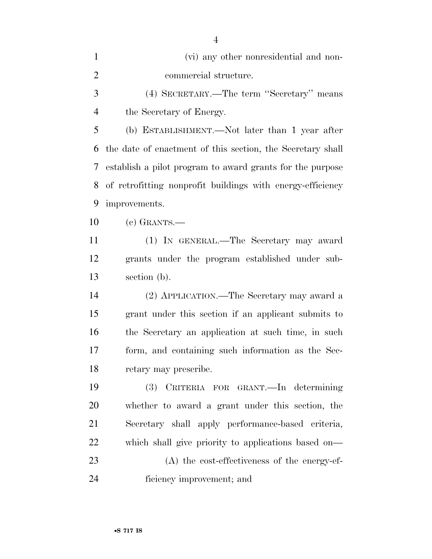| (vi) any other nonresidential and non- |
|----------------------------------------|
| commercial structure.                  |

 (4) SECRETARY.—The term ''Secretary'' means the Secretary of Energy.

 (b) ESTABLISHMENT.—Not later than 1 year after the date of enactment of this section, the Secretary shall establish a pilot program to award grants for the purpose of retrofitting nonprofit buildings with energy-efficiency improvements.

(c) GRANTS.—

 (1) IN GENERAL.—The Secretary may award grants under the program established under sub-section (b).

 (2) APPLICATION.—The Secretary may award a grant under this section if an applicant submits to the Secretary an application at such time, in such form, and containing such information as the Sec-retary may prescribe.

 (3) CRITERIA FOR GRANT.—In determining whether to award a grant under this section, the Secretary shall apply performance-based criteria, which shall give priority to applications based on— (A) the cost-effectiveness of the energy-ef-ficiency improvement; and